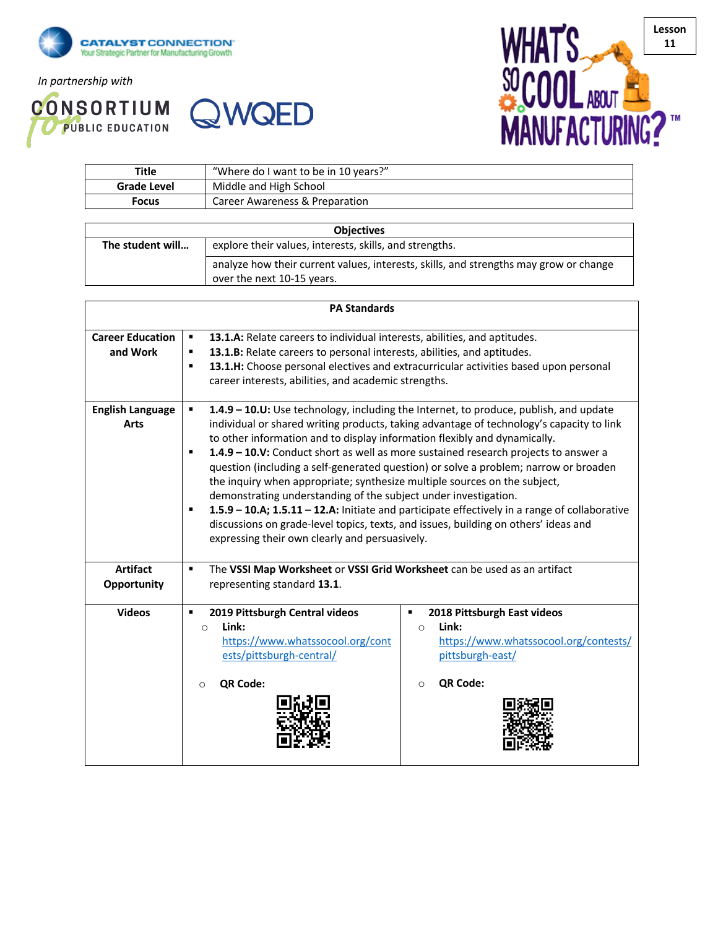

*In partnership with*





| Title       | "Where do I want to be in 10 years?" |
|-------------|--------------------------------------|
| Grade Level | Middle and High School               |
| Focus       | Career Awareness & Preparation       |

| <b>Objectives</b> |                                                                                                                     |  |  |  |
|-------------------|---------------------------------------------------------------------------------------------------------------------|--|--|--|
| The student will  | explore their values, interests, skills, and strengths.                                                             |  |  |  |
|                   | analyze how their current values, interests, skills, and strengths may grow or change<br>over the next 10-15 years. |  |  |  |

| <b>PA Standards</b>                    |                                                                                                                                                                                                                                                                                                                                                                                                                                                                                                                                                                                                                                                                                                                                                                                                                                                                                  |                                                                                                                                          |  |  |  |  |
|----------------------------------------|----------------------------------------------------------------------------------------------------------------------------------------------------------------------------------------------------------------------------------------------------------------------------------------------------------------------------------------------------------------------------------------------------------------------------------------------------------------------------------------------------------------------------------------------------------------------------------------------------------------------------------------------------------------------------------------------------------------------------------------------------------------------------------------------------------------------------------------------------------------------------------|------------------------------------------------------------------------------------------------------------------------------------------|--|--|--|--|
| <b>Career Education</b><br>and Work    | 13.1.A: Relate careers to individual interests, abilities, and aptitudes.<br>$\blacksquare$<br>13.1.B: Relate careers to personal interests, abilities, and aptitudes.<br>٠<br>13.1.H: Choose personal electives and extracurricular activities based upon personal<br>٠<br>career interests, abilities, and academic strengths.                                                                                                                                                                                                                                                                                                                                                                                                                                                                                                                                                 |                                                                                                                                          |  |  |  |  |
| <b>English Language</b><br><b>Arts</b> | $\blacksquare$<br>1.4.9 - 10.U: Use technology, including the Internet, to produce, publish, and update<br>individual or shared writing products, taking advantage of technology's capacity to link<br>to other information and to display information flexibly and dynamically.<br>1.4.9 - 10.V: Conduct short as well as more sustained research projects to answer a<br>٠<br>question (including a self-generated question) or solve a problem; narrow or broaden<br>the inquiry when appropriate; synthesize multiple sources on the subject,<br>demonstrating understanding of the subject under investigation.<br>1.5.9 - 10.A; 1.5.11 - 12.A: Initiate and participate effectively in a range of collaborative<br>$\blacksquare$<br>discussions on grade-level topics, texts, and issues, building on others' ideas and<br>expressing their own clearly and persuasively. |                                                                                                                                          |  |  |  |  |
| <b>Artifact</b><br>Opportunity         | $\blacksquare$<br>The VSSI Map Worksheet or VSSI Grid Worksheet can be used as an artifact<br>representing standard 13.1.                                                                                                                                                                                                                                                                                                                                                                                                                                                                                                                                                                                                                                                                                                                                                        |                                                                                                                                          |  |  |  |  |
| <b>Videos</b>                          | 2019 Pittsburgh Central videos<br>$\blacksquare$<br>Link:<br>$\circ$<br>https://www.whatssocool.org/cont<br>ests/pittsburgh-central/<br>QR Code:<br>$\circ$                                                                                                                                                                                                                                                                                                                                                                                                                                                                                                                                                                                                                                                                                                                      | 2018 Pittsburgh East videos<br>٠<br>Link:<br>$\circ$<br>https://www.whatssocool.org/contests/<br>pittsburgh-east/<br>QR Code:<br>$\circ$ |  |  |  |  |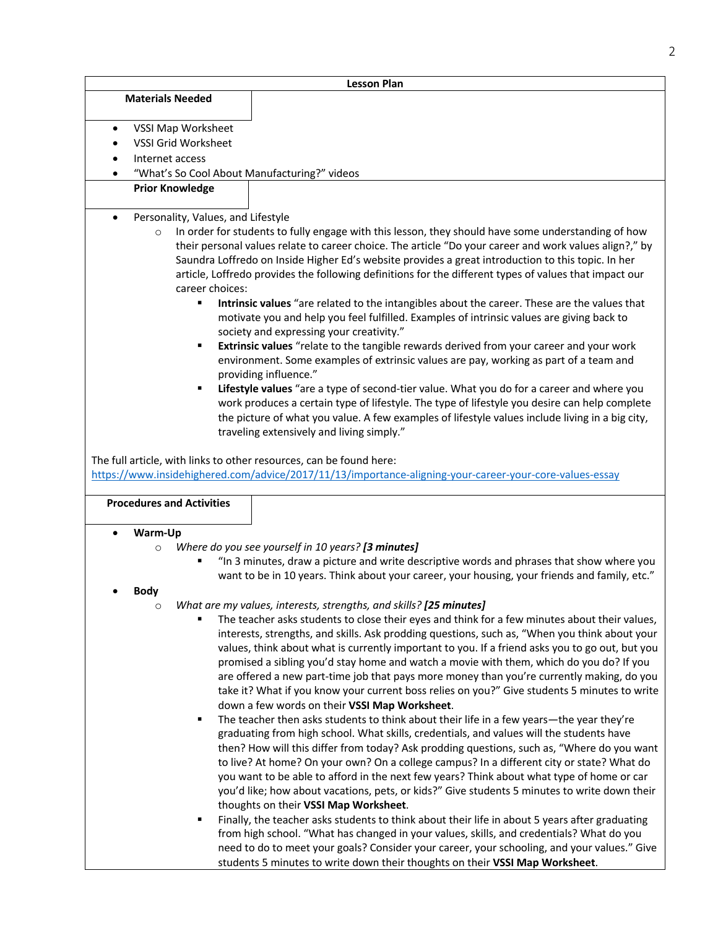| <b>Lesson Plan</b>                                                                                                                                                                    |                                                                                                                                                                                                              |  |  |  |  |  |
|---------------------------------------------------------------------------------------------------------------------------------------------------------------------------------------|--------------------------------------------------------------------------------------------------------------------------------------------------------------------------------------------------------------|--|--|--|--|--|
| <b>Materials Needed</b>                                                                                                                                                               |                                                                                                                                                                                                              |  |  |  |  |  |
|                                                                                                                                                                                       |                                                                                                                                                                                                              |  |  |  |  |  |
| VSSI Map Worksheet<br>$\bullet$<br><b>VSSI Grid Worksheet</b>                                                                                                                         |                                                                                                                                                                                                              |  |  |  |  |  |
| Internet access                                                                                                                                                                       |                                                                                                                                                                                                              |  |  |  |  |  |
| "What's So Cool About Manufacturing?" videos                                                                                                                                          |                                                                                                                                                                                                              |  |  |  |  |  |
| <b>Prior Knowledge</b>                                                                                                                                                                |                                                                                                                                                                                                              |  |  |  |  |  |
|                                                                                                                                                                                       |                                                                                                                                                                                                              |  |  |  |  |  |
| Personality, Values, and Lifestyle                                                                                                                                                    |                                                                                                                                                                                                              |  |  |  |  |  |
| $\circ$                                                                                                                                                                               | In order for students to fully engage with this lesson, they should have some understanding of how<br>their personal values relate to career choice. The article "Do your career and work values align?," by |  |  |  |  |  |
|                                                                                                                                                                                       | Saundra Loffredo on Inside Higher Ed's website provides a great introduction to this topic. In her<br>article, Loffredo provides the following definitions for the different types of values that impact our |  |  |  |  |  |
| career choices:                                                                                                                                                                       |                                                                                                                                                                                                              |  |  |  |  |  |
| ٠                                                                                                                                                                                     | Intrinsic values "are related to the intangibles about the career. These are the values that<br>motivate you and help you feel fulfilled. Examples of intrinsic values are giving back to                    |  |  |  |  |  |
|                                                                                                                                                                                       | society and expressing your creativity."                                                                                                                                                                     |  |  |  |  |  |
| Extrinsic values "relate to the tangible rewards derived from your career and your work<br>٠<br>environment. Some examples of extrinsic values are pay, working as part of a team and |                                                                                                                                                                                                              |  |  |  |  |  |
|                                                                                                                                                                                       | providing influence."                                                                                                                                                                                        |  |  |  |  |  |
|                                                                                                                                                                                       | Lifestyle values "are a type of second-tier value. What you do for a career and where you<br>work produces a certain type of lifestyle. The type of lifestyle you desire can help complete                   |  |  |  |  |  |
|                                                                                                                                                                                       | the picture of what you value. A few examples of lifestyle values include living in a big city,                                                                                                              |  |  |  |  |  |
|                                                                                                                                                                                       | traveling extensively and living simply."                                                                                                                                                                    |  |  |  |  |  |
|                                                                                                                                                                                       |                                                                                                                                                                                                              |  |  |  |  |  |
| The full article, with links to other resources, can be found here:                                                                                                                   |                                                                                                                                                                                                              |  |  |  |  |  |
|                                                                                                                                                                                       | https://www.insidehighered.com/advice/2017/11/13/importance-aligning-your-career-your-core-values-essay                                                                                                      |  |  |  |  |  |
| <b>Procedures and Activities</b>                                                                                                                                                      |                                                                                                                                                                                                              |  |  |  |  |  |
|                                                                                                                                                                                       |                                                                                                                                                                                                              |  |  |  |  |  |
| Warm-Up                                                                                                                                                                               |                                                                                                                                                                                                              |  |  |  |  |  |
| $\circ$                                                                                                                                                                               | Where do you see yourself in 10 years? [3 minutes]                                                                                                                                                           |  |  |  |  |  |
|                                                                                                                                                                                       | "In 3 minutes, draw a picture and write descriptive words and phrases that show where you                                                                                                                    |  |  |  |  |  |
|                                                                                                                                                                                       | want to be in 10 years. Think about your career, your housing, your friends and family, etc."                                                                                                                |  |  |  |  |  |
| <b>Body</b>                                                                                                                                                                           |                                                                                                                                                                                                              |  |  |  |  |  |
| $\circ$                                                                                                                                                                               | What are my values, interests, strengths, and skills? [25 minutes]<br>The teacher asks students to close their eyes and think for a few minutes about their values,                                          |  |  |  |  |  |
|                                                                                                                                                                                       | interests, strengths, and skills. Ask prodding questions, such as, "When you think about your                                                                                                                |  |  |  |  |  |
|                                                                                                                                                                                       | values, think about what is currently important to you. If a friend asks you to go out, but you                                                                                                              |  |  |  |  |  |
| promised a sibling you'd stay home and watch a movie with them, which do you do? If you                                                                                               |                                                                                                                                                                                                              |  |  |  |  |  |
|                                                                                                                                                                                       | are offered a new part-time job that pays more money than you're currently making, do you                                                                                                                    |  |  |  |  |  |
|                                                                                                                                                                                       | take it? What if you know your current boss relies on you?" Give students 5 minutes to write                                                                                                                 |  |  |  |  |  |
|                                                                                                                                                                                       | down a few words on their VSSI Map Worksheet.                                                                                                                                                                |  |  |  |  |  |
| ٠                                                                                                                                                                                     | The teacher then asks students to think about their life in a few years-the year they're                                                                                                                     |  |  |  |  |  |
|                                                                                                                                                                                       | graduating from high school. What skills, credentials, and values will the students have                                                                                                                     |  |  |  |  |  |
|                                                                                                                                                                                       | then? How will this differ from today? Ask prodding questions, such as, "Where do you want<br>to live? At home? On your own? On a college campus? In a different city or state? What do                      |  |  |  |  |  |
|                                                                                                                                                                                       | you want to be able to afford in the next few years? Think about what type of home or car                                                                                                                    |  |  |  |  |  |
|                                                                                                                                                                                       | you'd like; how about vacations, pets, or kids?" Give students 5 minutes to write down their                                                                                                                 |  |  |  |  |  |
|                                                                                                                                                                                       | thoughts on their VSSI Map Worksheet.                                                                                                                                                                        |  |  |  |  |  |
| ٠                                                                                                                                                                                     | Finally, the teacher asks students to think about their life in about 5 years after graduating                                                                                                               |  |  |  |  |  |
| from high school. "What has changed in your values, skills, and credentials? What do you                                                                                              |                                                                                                                                                                                                              |  |  |  |  |  |
|                                                                                                                                                                                       | need to do to meet your goals? Consider your career, your schooling, and your values." Give                                                                                                                  |  |  |  |  |  |
|                                                                                                                                                                                       | students 5 minutes to write down their thoughts on their VSSI Map Worksheet.                                                                                                                                 |  |  |  |  |  |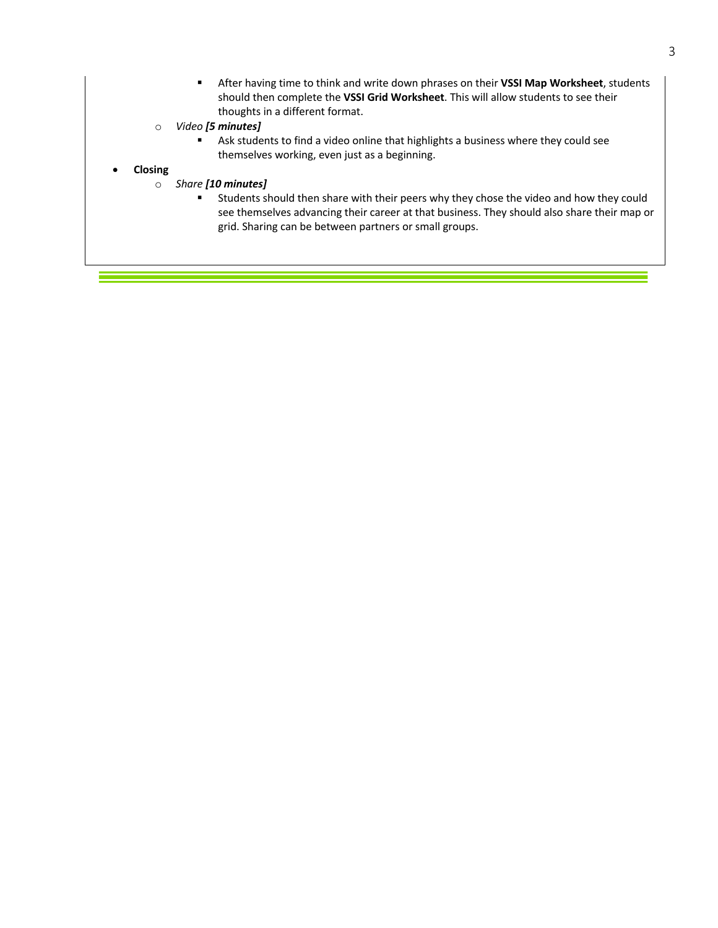- § After having time to think and write down phrases on their **VSSI Map Worksheet**, students should then complete the **VSSI Grid Worksheet**. This will allow students to see their thoughts in a different format.
- o *Video [5 minutes]*
	- **•** Ask students to find a video online that highlights a business where they could see themselves working, even just as a beginning.

#### • **Closing**

- o *Share [10 minutes]*
	- § Students should then share with their peers why they chose the video and how they could see themselves advancing their career at that business. They should also share their map or grid. Sharing can be between partners or small groups.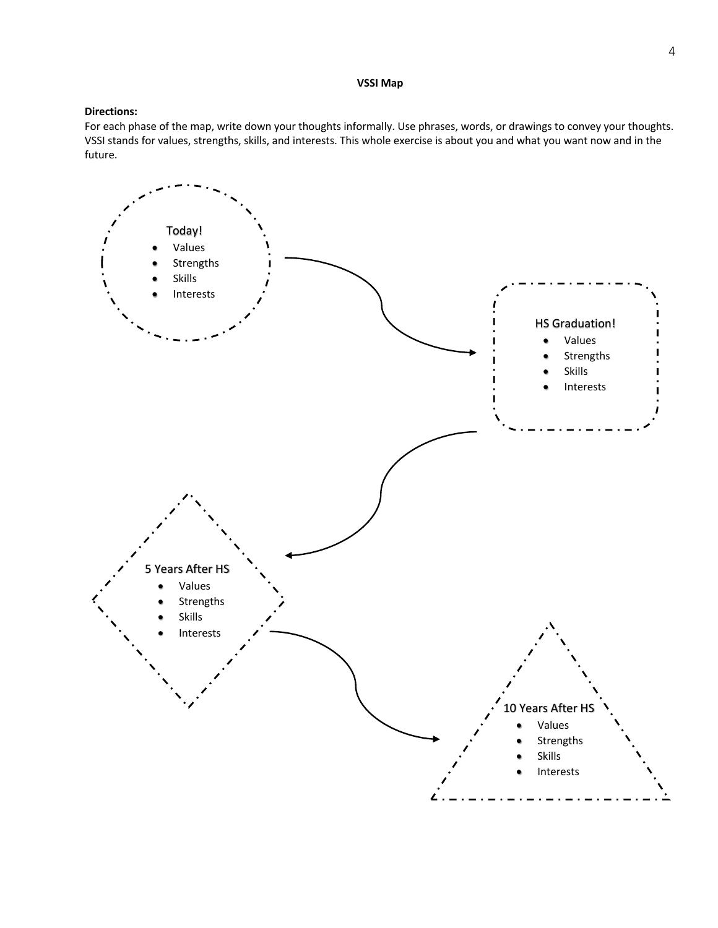#### **VSSI Map**

## **Directions:**

For each phase of the map, write down your thoughts informally. Use phrases, words, or drawings to convey your thoughts. VSSI stands for values, strengths, skills, and interests. This whole exercise is about you and what you want now and in the future.